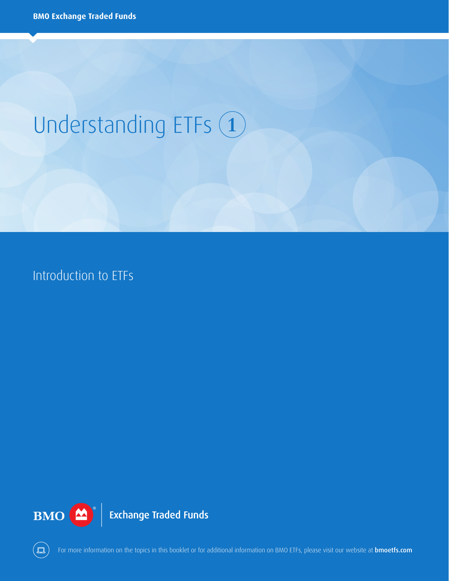# Understanding ETFs 1

Introduction to ETFs





For more information on the topics in this booklet or for additional information on BMO ETFs, please visit our website at **bmoetfs.com**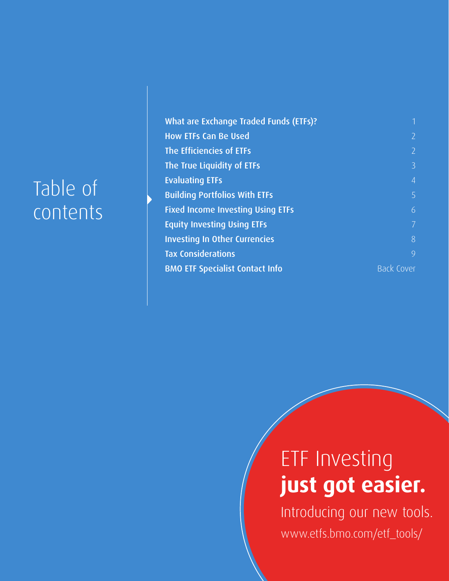## Table of contents

| What are Exchange Traded Funds (ETFs)?   | 1                 |
|------------------------------------------|-------------------|
| <b>How ETFs Can Be Used</b>              | $\overline{2}$    |
| The Efficiencies of ETFs                 | $\overline{2}$    |
| The True Liquidity of ETFs               | $\overline{3}$    |
| <b>Evaluating ETFs</b>                   | $\overline{4}$    |
| <b>Building Portfolios With ETFs</b>     | 5                 |
| <b>Fixed Income Investing Using ETFs</b> | 6                 |
| <b>Equity Investing Using ETFs</b>       | $\overline{7}$    |
| <b>Investing In Other Currencies</b>     | 8                 |
| <b>Tax Considerations</b>                | 9                 |
| <b>BMO ETF Specialist Contact Info</b>   | <b>Back Cover</b> |

## ETF Investing **just got easier.**

Introducing our new tools. www.etfs.bmo.com/etf\_tools/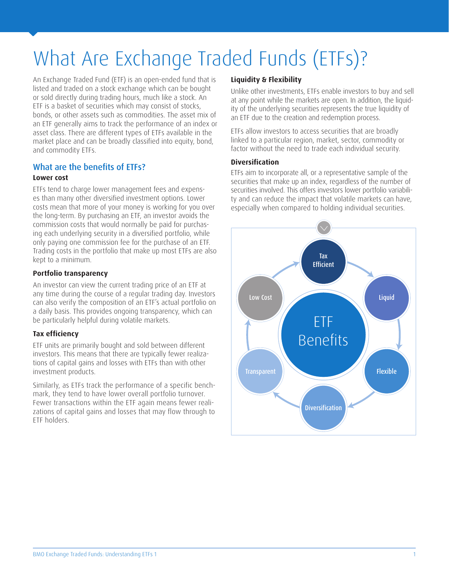## What Are Exchange Traded Funds (ETFs)?

An Exchange Traded Fund (ETF) is an open-ended fund that is listed and traded on a stock exchange which can be bought or sold directly during trading hours, much like a stock. An ETF is a basket of securities which may consist of stocks, bonds, or other assets such as commodities. The asset mix of an ETF generally aims to track the performance of an index or asset class. There are different types of ETFs available in the market place and can be broadly classified into equity, bond, and commodity ETFs.

#### What are the benefits of ETFs?

#### **Lower cost**

ETFs tend to charge lower management fees and expenses than many other diversified investment options. Lower costs mean that more of your money is working for you over the long-term. By purchasing an ETF, an investor avoids the commission costs that would normally be paid for purchasing each underlying security in a diversified portfolio, while only paying one commission fee for the purchase of an ETF. Trading costs in the portfolio that make up most ETFs are also kept to a minimum.

#### **Portfolio transparency**

An investor can view the current trading price of an ETF at any time during the course of a regular trading day. Investors can also verify the composition of an ETF's actual portfolio on a daily basis. This provides ongoing transparency, which can be particularly helpful during volatile markets.

#### **Tax efficiency**

ETF units are primarily bought and sold between different investors. This means that there are typically fewer realizations of capital gains and losses with ETFs than with other investment products.

Similarly, as ETFs track the performance of a specific benchmark, they tend to have lower overall portfolio turnover. Fewer transactions within the ETF again means fewer realizations of capital gains and losses that may flow through to ETF holders.

#### **Liquidity & Flexibility**

Unlike other investments, ETFs enable investors to buy and sell at any point while the markets are open. In addition, the liquidity of the underlying securities represents the true liquidity of an ETF due to the creation and redemption process.

ETFs allow investors to access securities that are broadly linked to a particular region, market, sector, commodity or factor without the need to trade each individual security.

#### **Diversification**

ETFs aim to incorporate all, or a representative sample of the securities that make up an index, regardless of the number of securities involved. This offers investors lower portfolio variability and can reduce the impact that volatile markets can have, especially when compared to holding individual securities.

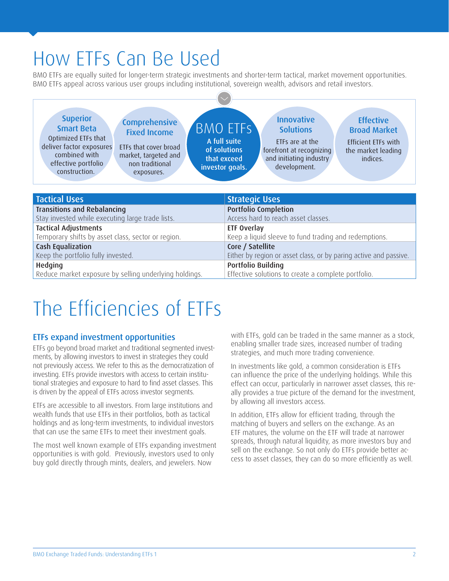### How ETFs Can Be Used

BMO ETFs are equally suited for longer-term strategic investments and shorter-term tactical, market movement opportunities. BMO ETFs appeal across various user groups including institutional, sovereign wealth, advisors and retail investors.



### The Efficiencies of ETFs

#### ETFs expand investment opportunities

ETFs go beyond broad market and traditional segmented investments, by allowing investors to invest in strategies they could not previously access. We refer to this as the democratization of investing. ETFs provide investors with access to certain institutional strategies and exposure to hard to find asset classes. This is driven by the appeal of ETFs across investor segments.

ETFs are accessible to all investors. From large institutions and wealth funds that use ETFs in their portfolios, both as tactical holdings and as long-term investments, to individual investors that can use the same ETFs to meet their investment goals.

The most well known example of ETFs expanding investment opportunities is with gold. Previously, investors used to only buy gold directly through mints, dealers, and jewelers. Now

with ETFs, gold can be traded in the same manner as a stock, enabling smaller trade sizes, increased number of trading strategies, and much more trading convenience.

In investments like gold, a common consideration is ETFs can influence the price of the underlying holdings. While this effect can occur, particularly in narrower asset classes, this really provides a true picture of the demand for the investment, by allowing all investors access.

In addition, ETFs allow for efficient trading, through the matching of buyers and sellers on the exchange. As an ETF matures, the volume on the ETF will trade at narrower spreads, through natural liquidity, as more investors buy and sell on the exchange. So not only do ETFs provide better access to asset classes, they can do so more efficiently as well.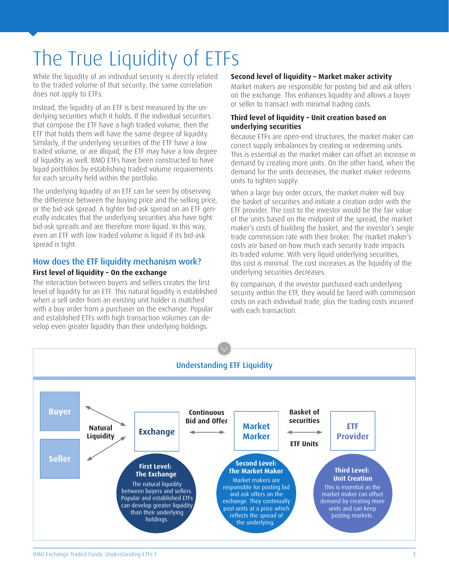## The True Liquidity of ETFs

While the liquidity of an individual security is directly related to the traded volume of that security, the same correlation does not apply to ETFs.

Instead, the liquidity of an ETF is best measured by the underlying securities which it holds. If the individual securities that compose the ETF have a high traded volume, then the ETF that holds them will have the same degree of liquidity. Similarly, if the underlying securities of the ETF have a low traded volume, or are illiquid, the ETF may have a low degree of liquidity as well. BMO ETFs have been constructed to have liquid portfolios by establishing traded volume requirements for each security held within the portfolio.

The underlying liquidity of an ETF can be seen by observing the difference between the buying price and the selling price, or the bid-ask spread. A tighter bid-ask spread on an ETF generally indicates that the underlying securities also have tight bid-ask spreads and are therefore more liquid. In this way, even an ETF with low traded volume is liquid if its bid-ask spread is tight.

#### How does the ETF liquidity mechanism work?

#### **First level of liquidity – On the exchange**

The interaction between buyers and sellers creates the first level of liquidity for an ETF. This natural liquidity is established when a sell order from an existing unit holder is matched with a buy order from a purchaser on the exchange. Popular and established ETFs with high transaction volumes can develop even greater liquidity than their underlying holdings.

#### **Second level of liquidity – Market maker activity**

Market makers are responsible for posting bid and ask offers on the exchange. This enhances liquidity and allows a buyer or seller to transact with minimal trading costs.

#### **Third level of liquidity – Unit creation based on underlying securities**

Because ETFs are open-end structures, the market maker can correct supply imbalances by creating or redeeming units. This is essential as the market maker can offset an increase in demand by creating more units. On the other hand, when the demand for the units decreases, the market maker redeems units to tighten supply.

When a large buy order occurs, the market maker will buy the basket of securities and initiate a creation order with the ETF provider. The cost to the investor would be the fair value of the units based on the midpoint of the spread, the market maker's costs of building the basket, and the investor's single trade commission rate with their broker. The market maker's costs are based on how much each security trade impacts its traded volume. With very liquid underlying securities, this cost is minimal. The cost increases as the liquidity of the underlying securities decreases.

By comparison, if the investor purchased each underlying security within the ETF, they would be faced with commission costs on each individual trade, plus the trading costs incurred with each transaction.

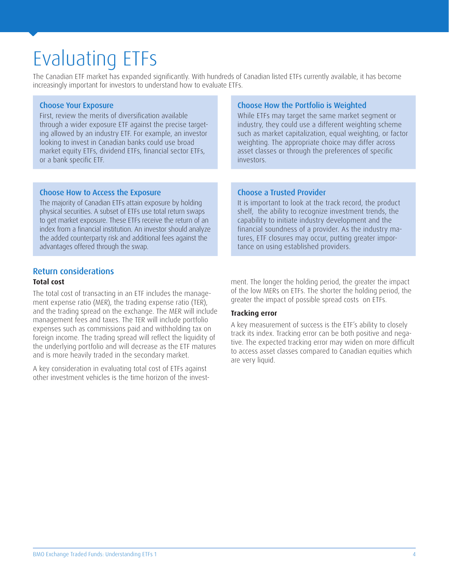### Evaluating ETFs

The Canadian ETF market has expanded significantly. With hundreds of Canadian listed ETFs currently available, it has become increasingly important for investors to understand how to evaluate ETFs.

#### Choose Your Exposure

First, review the merits of diversification available through a wider exposure ETF against the precise targeting allowed by an industry ETF. For example, an investor looking to invest in Canadian banks could use broad market equity ETFs, dividend ETFs, financial sector ETFs, or a bank specific ETF.

#### Choose How the Portfolio is Weighted

While ETFs may target the same market segment or industry, they could use a different weighting scheme such as market capitalization, equal weighting, or factor weighting. The appropriate choice may differ across asset classes or through the preferences of specific investors.

#### Choose How to Access the Exposure

The majority of Canadian ETFs attain exposure by holding physical securities. A subset of ETFs use total return swaps to get market exposure. These ETFs receive the return of an index from a financial institution. An investor should analyze the added counterparty risk and additional fees against the advantages offered through the swap.

#### Choose a Trusted Provider

It is important to look at the track record, the product shelf, the ability to recognize investment trends, the capability to initiate industry development and the financial soundness of a provider. As the industry matures, ETF closures may occur, putting greater importance on using established providers.

#### Return considerations

#### **Total cost**

The total cost of transacting in an ETF includes the management expense ratio (MER), the trading expense ratio (TER), and the trading spread on the exchange. The MER will include management fees and taxes. The TER will include portfolio expenses such as commissions paid and withholding tax on foreign income. The trading spread will reflect the liquidity of the underlying portfolio and will decrease as the ETF matures and is more heavily traded in the secondary market.

A key consideration in evaluating total cost of ETFs against other investment vehicles is the time horizon of the investment. The longer the holding period, the greater the impact of the low MERs on ETFs. The shorter the holding period, the greater the impact of possible spread costs on ETFs.

#### **Tracking error**

A key measurement of success is the ETF's ability to closely track its index. Tracking error can be both positive and negative. The expected tracking error may widen on more difficult to access asset classes compared to Canadian equities which are very liquid.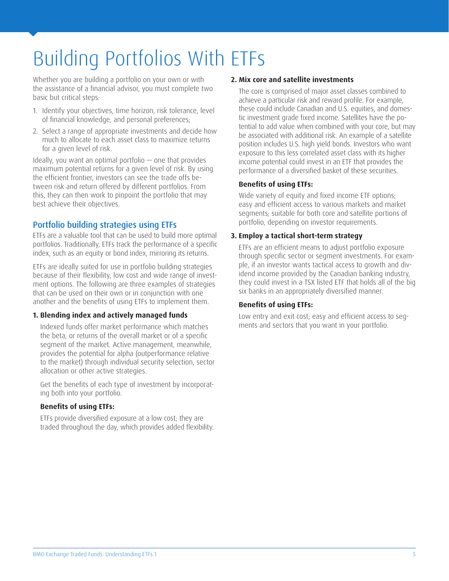## Building Portfolios With ETFs

Whether you are building a portfolio on your own or with the assistance of a financial advisor, you must complete two basic but critical steps:

- 1. Identify your objectives, time horizon, risk tolerance, level of financial knowledge, and personal preferences;
- 2. Select a range of appropriate investments and decide how much to allocate to each asset class to maximize returns for a given level of risk.

Ideally, you want an optimal portfolio — one that provides maximum potential returns for a given level of risk. By using the efficient frontier, investors can see the trade offs between risk and return offered by different portfolios. From this, they can then work to pinpoint the portfolio that may best achieve their objectives.

#### Portfolio building strategies using ETFs

ETFs are a valuable tool that can be used to build more optimal portfolios. Traditionally, ETFs track the performance of a specific index, such as an equity or bond index, mirroring its returns.

ETFs are ideally suited for use in portfolio building strategies because of their flexibility, low cost and wide range of investment options. The following are three examples of strategies that can be used on their own or in conjunction with one another and the benefits of using ETFs to implement them.

#### **1. Blending index and actively managed funds**

Indexed funds offer market performance which matches the beta, or returns of the overall market or of a specific segment of the market. Active management, meanwhile, provides the potential for alpha (outperformance relative to the market) through individual security selection, sector allocation or other active strategies.

Get the benefits of each type of investment by incorporating both into your portfolio.

#### **Benefits of using ETFs:**

ETFs provide diversified exposure at a low cost; they are traded throughout the day, which provides added flexibility.

#### **2. Mix core and satellite investments**

The core is comprised of major asset classes combined to achieve a particular risk and reward profile. For example, these could include Canadian and U.S. equities, and domestic investment grade fixed income. Satellites have the potential to add value when combined with your core, but may be associated with additional risk. An example of a satellite position includes U.S. high yield bonds. Investors who want exposure to this less correlated asset class with its higher income potential could invest in an ETF that provides the performance of a diversified basket of these securities.

#### **Benefits of using ETFs:**

Wide variety of equity and fixed income ETF options; easy and efficient access to various markets and market segments; suitable for both core and satellite portions of portfolio, depending on investor requirements.

#### **3. Employ a tactical short-term strategy**

ETFs are an efficient means to adjust portfolio exposure through specific sector or segment investments. For example, if an investor wants tactical access to growth and dividend income provided by the Canadian banking industry, they could invest in a TSX listed ETF that holds all of the big six banks in an appropriately diversified manner.

#### **Benefits of using ETFs:**

Low entry and exit cost; easy and efficient access to segments and sectors that you want in your portfolio.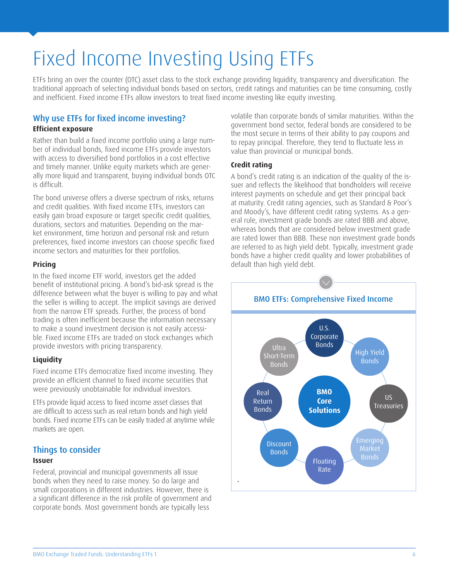## Fixed Income Investing Using ETFs

ETFs bring an over the counter (OTC) asset class to the stock exchange providing liquidity, transparency and diversification. The traditional approach of selecting individual bonds based on sectors, credit ratings and maturities can be time consuming, costly and inefficient. Fixed income ETFs allow investors to treat fixed income investing like equity investing.

#### Why use ETFs for fixed income investing?

#### **Efficient exposure**

Rather than build a fixed income portfolio using a large number of individual bonds, fixed income ETFs provide investors with access to diversified bond portfolios in a cost effective and timely manner. Unlike equity markets which are generally more liquid and transparent, buying individual bonds OTC is difficult.

The bond universe offers a diverse spectrum of risks, returns and credit qualities. With fixed income ETFs, investors can easily gain broad exposure or target specific credit qualities, durations, sectors and maturities. Depending on the market environment, time horizon and personal risk and return preferences, fixed income investors can choose specific fixed income sectors and maturities for their portfolios.

#### **Pricing**

In the fixed income ETF world, investors get the added benefit of institutional pricing. A bond's bid-ask spread is the difference between what the buyer is willing to pay and what the seller is willing to accept. The implicit savings are derived from the narrow ETF spreads. Further, the process of bond trading is often inefficient because the information necessary to make a sound investment decision is not easily accessible. Fixed income ETFs are traded on stock exchanges which provide investors with pricing transparency.

#### **Liquidity**

Fixed income ETFs democratize fixed income investing. They provide an efficient channel to fixed income securities that were previously unobtainable for individual investors.

ETFs provide liquid access to fixed income asset classes that are difficult to access such as real return bonds and high yield bonds. Fixed income ETFs can be easily traded at anytime while markets are open.

#### Things to consider

#### **Issuer**

Federal, provincial and municipal governments all issue bonds when they need to raise money. So do large and small corporations in different industries. However, there is a significant difference in the risk profile of government and corporate bonds. Most government bonds are typically less

volatile than corporate bonds of similar maturities. Within the government bond sector, federal bonds are considered to be the most secure in terms of their ability to pay coupons and to repay principal. Therefore, they tend to fluctuate less in value than provincial or municipal bonds.

#### **Credit rating**

A bond's credit rating is an indication of the quality of the issuer and reflects the likelihood that bondholders will receive interest payments on schedule and get their principal back at maturity. Credit rating agencies, such as Standard & Poor's and Moody's, have different credit rating systems. As a general rule, investment grade bonds are rated BBB and above, whereas bonds that are considered below investment grade are rated lower than BBB. These non investment grade bonds are referred to as high yield debt. Typically, investment grade bonds have a higher credit quality and lower probabilities of default than high yield debt.

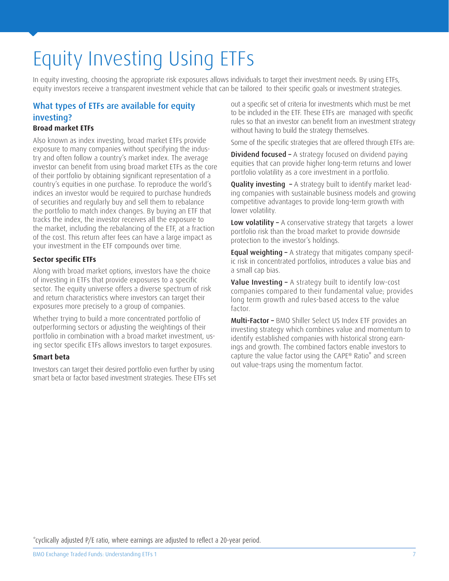## Equity Investing Using ETFs

In equity investing, choosing the appropriate risk exposures allows individuals to target their investment needs. By using ETFs, equity investors receive a transparent investment vehicle that can be tailored to their specific goals or investment strategies.

#### What types of ETFs are available for equity investing?

#### **Broad market ETFs**

Also known as index investing, broad market ETFs provide exposure to many companies without specifying the industry and often follow a country's market index. The average investor can benefit from using broad market ETFs as the core of their portfolio by obtaining significant representation of a country's equities in one purchase. To reproduce the world's indices an investor would be required to purchase hundreds of securities and regularly buy and sell them to rebalance the portfolio to match index changes. By buying an ETF that tracks the index, the investor receives all the exposure to the market, including the rebalancing of the ETF, at a fraction of the cost. This return after fees can have a large impact as your investment in the ETF compounds over time.

#### **Sector specific ETFs**

Along with broad market options, investors have the choice of investing in ETFs that provide exposures to a specific sector. The equity universe offers a diverse spectrum of risk and return characteristics where investors can target their exposures more precisely to a group of companies.

Whether trying to build a more concentrated portfolio of outperforming sectors or adjusting the weightings of their portfolio in combination with a broad market investment, using sector specific ETFs allows investors to target exposures.

#### **Smart beta**

Investors can target their desired portfolio even further by using smart beta or factor based investment strategies. These ETFs set out a specific set of criteria for investments which must be met to be included in the ETF. These ETFs are managed with specific rules so that an investor can benefit from an investment strategy without having to build the strategy themselves.

Some of the specific strategies that are offered through ETFs are:

**Dividend focused –** A strategy focused on dividend paying equities that can provide higher long-term returns and lower portfolio volatility as a core investment in a portfolio.

**Quality investing - A strategy built to identify market lead**ing companies with sustainable business models and growing competitive advantages to provide long-term growth with lower volatility.

Low volatility - A conservative strategy that targets a lower portfolio risk than the broad market to provide downside protection to the investor's holdings.

**Equal weighting -** A strategy that mitigates company specific risk in concentrated portfolios, introduces a value bias and a small cap bias.

Value Investing - A strategy built to identify low-cost companies compared to their fundamental value; provides long term growth and rules-based access to the value factor.

Multi-Factor – BMO Shiller Select US Index ETF provides an investing strategy which combines value and momentum to identify established companies with historical strong earnings and growth. The combined factors enable investors to capture the value factor using the CAPE® Ratio\* and screen out value-traps using the momentum factor.

\*cyclically adjusted P/E ratio, where earnings are adjusted to reflect a 20-year period.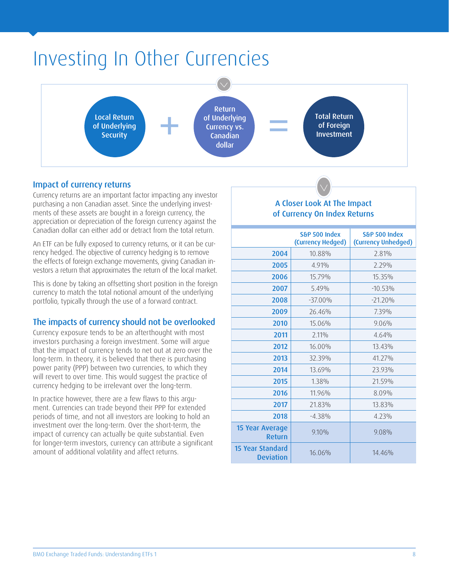### Investing In Other Currencies



#### Impact of currency returns

Currency returns are an important factor impacting any investor purchasing a non Canadian asset. Since the underlying investments of these assets are bought in a foreign currency, the appreciation or depreciation of the foreign currency against the Canadian dollar can either add or detract from the total return.

An ETF can be fully exposed to currency returns, or it can be currency hedged. The objective of currency hedging is to remove the effects of foreign exchange movements, giving Canadian investors a return that approximates the return of the local market.

This is done by taking an offsetting short position in the foreign currency to match the total notional amount of the underlying portfolio, typically through the use of a forward contract.

#### The impacts of currency should not be overlooked

Currency exposure tends to be an afterthought with most investors purchasing a foreign investment. Some will argue that the impact of currency tends to net out at zero over the long-term. In theory, it is believed that there is purchasing power parity (PPP) between two currencies, to which they will revert to over time. This would suggest the practice of currency hedging to be irrelevant over the long-term.

In practice however, there are a few flaws to this argument. Currencies can trade beyond their PPP for extended periods of time, and not all investors are looking to hold an investment over the long-term. Over the short-term, the impact of currency can actually be quite substantial. Even for longer-term investors, currency can attribute a significant amount of additional volatility and affect returns.

#### A Closer Look At The Impact of Currency On Index Returns

|                                      | S&P 500 Index<br>(Currency Hedged) | S&P 500 Index<br>(Currency Unhedged) |
|--------------------------------------|------------------------------------|--------------------------------------|
| 2004                                 | 10.88%                             | 2.81%                                |
| 2005                                 | 4.91%                              | 2.29%                                |
| 2006                                 | 15.79%                             | 15.35%                               |
| 2007                                 | $5.49\%$                           | $-10.53\%$                           |
| 2008                                 | $-37.00\%$                         | $-21.20%$                            |
| 2009                                 | 26.46%                             | 7.39%                                |
| 2010                                 | 15.06%                             | 9.06%                                |
| 2011                                 | 2.11%                              | 4.64%                                |
| 2012                                 | 16.00%                             | 13 43%                               |
| 2013                                 | 32.39%                             | 41.27%                               |
| 2014                                 | 13.69%                             | 23.93%                               |
| 2015                                 | 1.38%                              | 21.59%                               |
| 2016                                 | 11.96%                             | 8.09%                                |
| 2017                                 | 21.83%                             | 13.83%                               |
| 2018                                 | $-4.38%$                           | 4.23%                                |
| 15 Year Average<br>Return            | $9.10\%$                           | 9.08%                                |
| 15 Year Standard<br><b>Deviation</b> | 16.06%                             | 14.46%                               |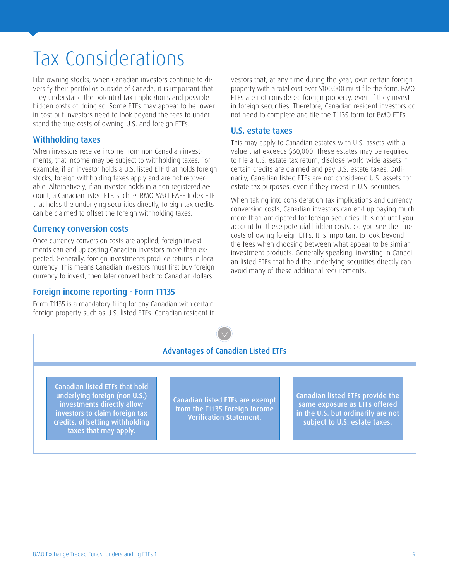### Tax Considerations

Like owning stocks, when Canadian investors continue to diversify their portfolios outside of Canada, it is important that they understand the potential tax implications and possible hidden costs of doing so. Some ETFs may appear to be lower in cost but investors need to look beyond the fees to understand the true costs of owning U.S. and foreign ETFs.

#### Withholding taxes

When investors receive income from non Canadian investments, that income may be subject to withholding taxes. For example, if an investor holds a U.S. listed ETF that holds foreign stocks, foreign withholding taxes apply and are not recoverable. Alternatively, if an investor holds in a non registered account, a Canadian listed ETF, such as BMO MSCI EAFE Index ETF that holds the underlying securities directly, foreign tax credits can be claimed to offset the foreign withholding taxes.

#### Currency conversion costs

Once currency conversion costs are applied, foreign investments can end up costing Canadian investors more than expected. Generally, foreign investments produce returns in local currency. This means Canadian investors must first buy foreign currency to invest, then later convert back to Canadian dollars.

#### Foreign income reporting - Form T1135

Form T1135 is a mandatory filing for any Canadian with certain foreign property such as U.S. listed ETFs. Canadian resident investors that, at any time during the year, own certain foreign property with a total cost over \$100,000 must file the form. BMO ETFs are not considered foreign property, even if they invest in foreign securities. Therefore, Canadian resident investors do not need to complete and file the T1135 form for BMO ETFs.

#### U.S. estate taxes

This may apply to Canadian estates with U.S. assets with a value that exceeds \$60,000. These estates may be required to file a U.S. estate tax return, disclose world wide assets if certain credits are claimed and pay U.S. estate taxes. Ordinarily, Canadian listed ETFs are not considered U.S. assets for estate tax purposes, even if they invest in U.S. securities.

When taking into consideration tax implications and currency conversion costs, Canadian investors can end up paying much more than anticipated for foreign securities. It is not until you account for these potential hidden costs, do you see the true costs of owing foreign ETFs. It is important to look beyond the fees when choosing between what appear to be similar investment products. Generally speaking, investing in Canadian listed ETFs that hold the underlying securities directly can avoid many of these additional requirements.

#### Advantages of Canadian Listed ETFs

Canadian listed ETFs that hold underlying foreign (non U.S.) investments directly allow investors to claim foreign tax credits, offsetting withholding taxes that may apply.

Canadian listed ETFs are exempt from the T1135 Foreign Income Verification Statement.

Canadian listed ETFs provide the same exposure as ETFs offered in the U.S. but ordinarily are not subject to U.S. estate taxes.